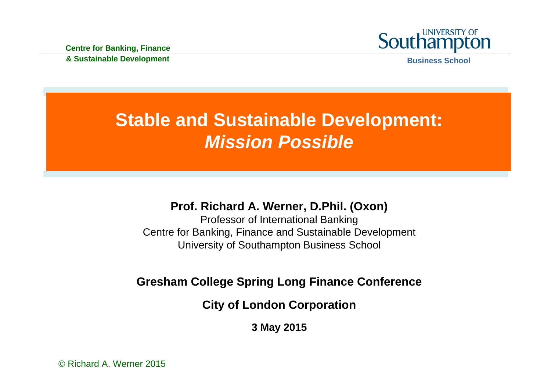

# **Stable and Sustainable Development:**  *Mission Possible*

#### **Prof. Richard A. Werner, D.Phil. (Oxon)**

Professor of International Banking Centre for Banking, Finance and Sustainable Development University of Southampton Business School

#### **Gresham College Spring Long Finance Conference**

**City of London Corporation**

**3 May 2015**

© Richard A. Werner 2015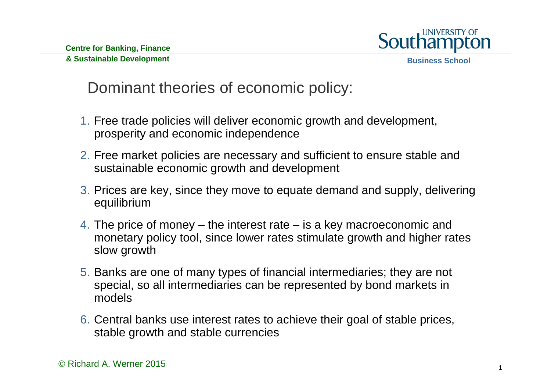

## Dominant theories of economic policy:

- 1. Free trade policies will deliver economic growth and development, prosperity and economic independence
- 2. Free market policies are necessary and sufficient to ensure stable and sustainable economic growth and development
- 3. Prices are key, since they move to equate demand and supply, delivering equilibrium
- 4. The price of money the interest rate is a key macroeconomic and monetary policy tool, since lower rates stimulate growth and higher rates slow growth
- 5. Banks are one of many types of financial intermediaries; they are not special, so all intermediaries can be represented by bond markets in models
- 6. Central banks use interest rates to achieve their goal of stable prices, stable growth and stable currencies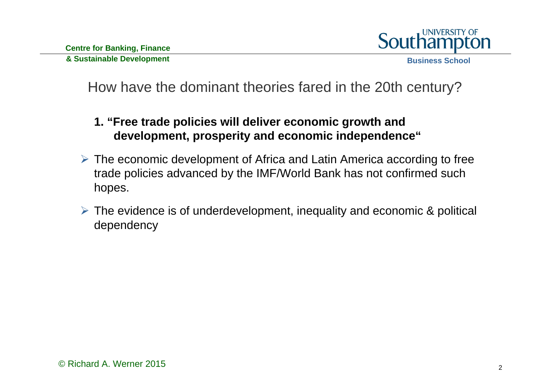

- **1. "Free trade policies will deliver economic growth and development, prosperity and economic independence"**
- The economic development of Africa and Latin America according to free trade policies advanced by the IMF/World Bank has not confirmed such hopes.
- $\triangleright$  The evidence is of underdevelopment, inequality and economic & political dependency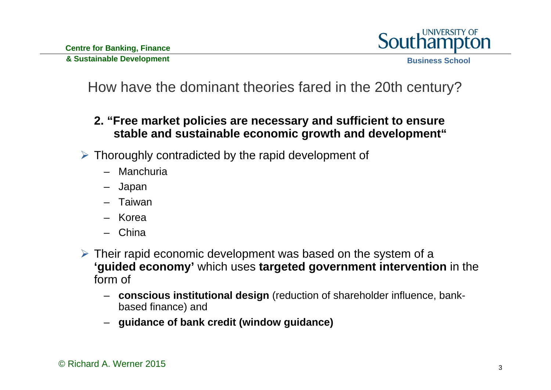

- **2. "Free market policies are necessary and sufficient to ensure stable and sustainable economic growth and development"**
- $\triangleright$  Thoroughly contradicted by the rapid development of
	- Manchuria
	- Japan
	- Taiwan
	- Korea
	- China
- $\triangleright$  Their rapid economic development was based on the system of a **'guided economy'** which uses **targeted government intervention** in the form of
	- **conscious institutional design** (reduction of shareholder influence, bankbased finance) and
	- **guidance of bank credit (window guidance)**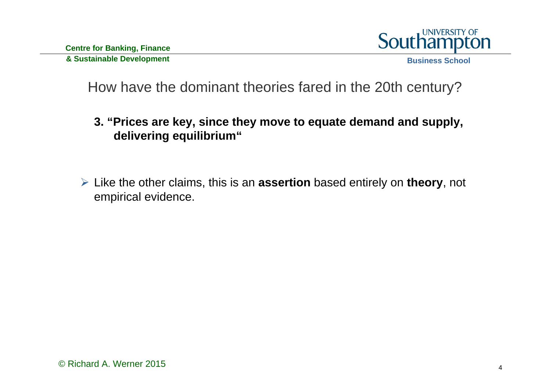

- **3. "Prices are key, since they move to equate demand and supply, delivering equilibrium"**
- Like the other claims, this is an **assertion** based entirely on **theory**, not empirical evidence.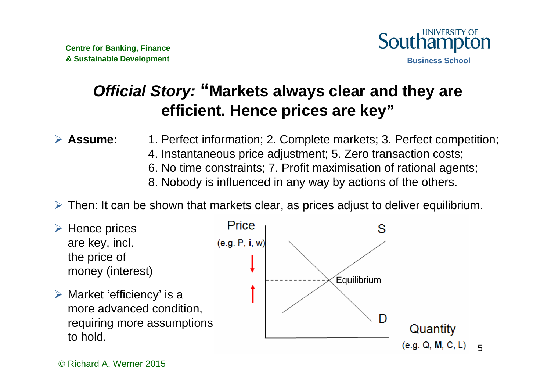

## *Official Story:* **"Markets always clear and they are efficient. Hence prices are key"**

 $\blacktriangleright$ **Assume:** 1. Perfect information; 2. Complete markets; 3. Perfect competition;

- 4. Instantaneous price adjustment; 5. Zero transaction costs;
- 6. No time constraints; 7. Profit maximisation of rational agents;
- 8. Nobody is influenced in any way by actions of the others.
- Then: It can be shown that markets clear, as prices adjust to deliver equilibrium.
- $\triangleright$  Hence prices are key, incl. the price of money (interest)
- $\triangleright$  Market 'efficiency' is a more advanced condition, requiring more assumptions to hold.

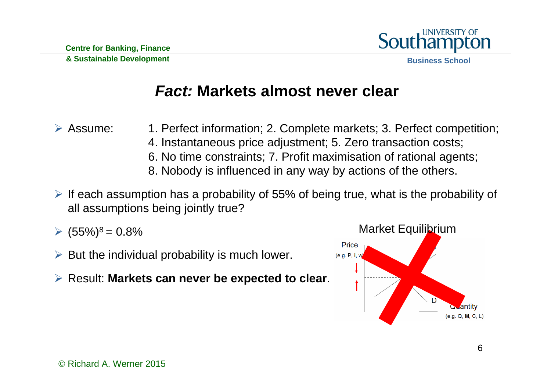

#### *Fact:* **Markets almost never clear**

 $\triangleright$  Assume: 1. Perfect information; 2. Complete markets; 3. Perfect competition;

- 4. Instantaneous price adjustment; 5. Zero transaction costs;
- 6. No time constraints; 7. Profit maximisation of rational agents;
- 8. Nobody is influenced in any way by actions of the others.
- $\triangleright$  If each assumption has a probability of 55% of being true, what is the probability of all assumptions being jointly true?
- $(55\%)^8 = 0.8\%$
- $\triangleright$  But the individual probability is much lower.
- Result: **Markets can never be expected to clear**.

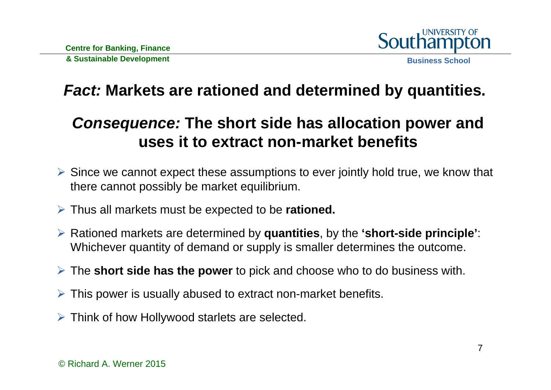

## *Fact:* **Markets are rationed and determined by quantities.**

## *Consequence:* **The short side has allocation power and uses it to extract non-market benefits**

- Since we cannot expect these assumptions to ever jointly hold true, we know that there cannot possibly be market equilibrium.
- Thus all markets must be expected to be **rationed.**
- Rationed markets are determined by **quantities**, by the **'short-side principle'**: Whichever quantity of demand or supply is smaller determines the outcome.
- The **short side has the power** to pick and choose who to do business with.
- $\triangleright$  This power is usually abused to extract non-market benefits.
- $\triangleright$  Think of how Hollywood starlets are selected.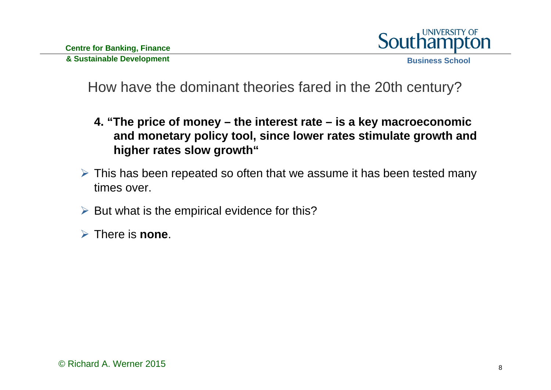

How have the dominant theories fared in the 20th century?

- **4. "The price of money – the interest rate – is a key macroeconomic and monetary policy tool, since lower rates stimulate growth and higher rates slow growth"**
- $\triangleright$  This has been repeated so often that we assume it has been tested many times over.
- $\triangleright$  But what is the empirical evidence for this?

There is **none**.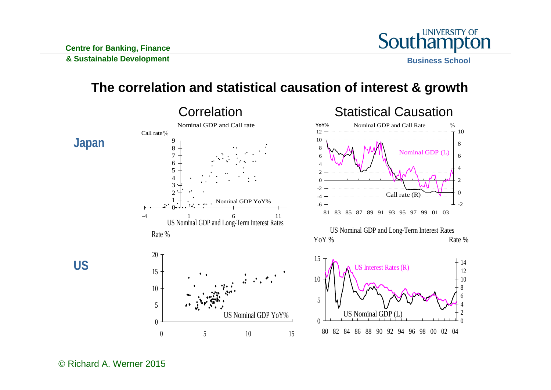

#### **The correlation and statistical causation of interest & growth**

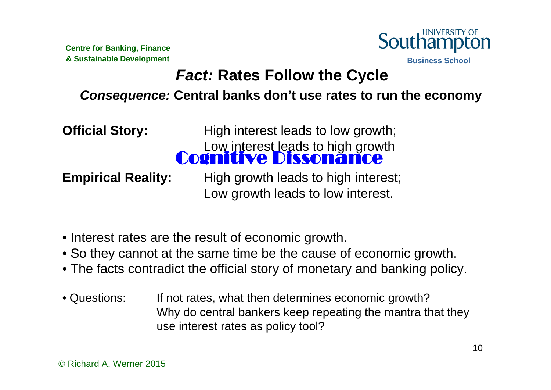UNIVERSITY OF

**& Sustainable Development**

**Business School**

## *Fact:* **Rates Follow the Cycle**

#### *Consequence:* **Central banks don't use rates to run the economy**

**Official Story:** High interest leads to low growth; Low interest leads to high growth **Empirical Reality:** High growth leads to high interest; Cognitive Dissonance

Low growth leads to low interest.

- Interest rates are the result of economic growth.
- So they cannot at the same time be the cause of economic growth.
- The facts contradict the official story of monetary and banking policy.
- Questions: If not rates, what then determines economic growth? Why do central bankers keep repeating the mantra that they use interest rates as policy tool?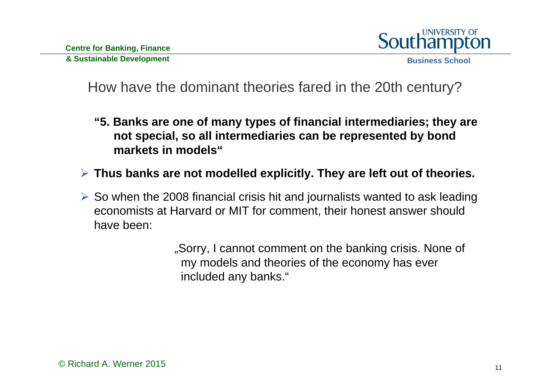

#### How have the dominant theories fared in the 20th century?

- **"5. Banks are one of many types of financial intermediaries; they are not special, so all intermediaries can be represented by bond markets in models"**
- **Thus banks are not modelled explicitly. They are left out of theories.**
- $\triangleright$  So when the 2008 financial crisis hit and journalists wanted to ask leading economists at Harvard or MIT for comment, their honest answer should have been:

"Sorry, I cannot comment on the banking crisis. None of my models and theories of the economy has ever included any banks."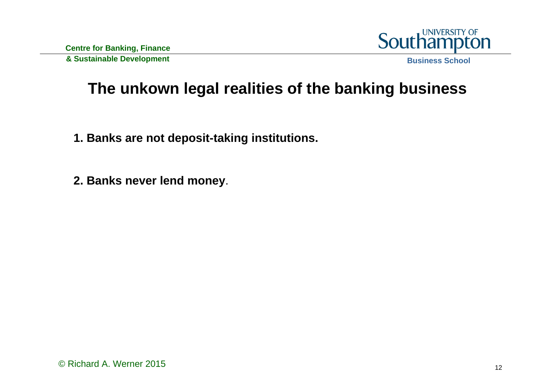

## **The unkown legal realities of the banking business**

- **1. Banks are not deposit-taking institutions.**
- **2. Banks never lend money**.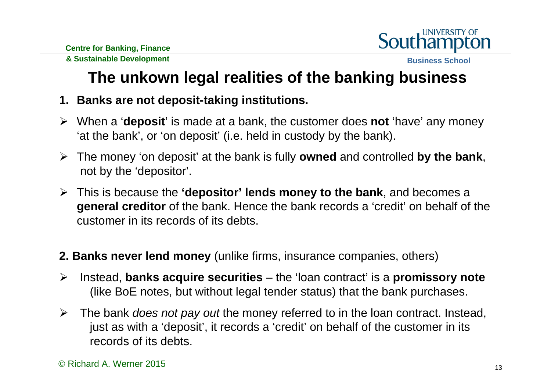

**Business School**

## **The unkown legal realities of the banking business**

- **1. Banks are not deposit-taking institutions.**
- When a '**deposit**' is made at a bank, the customer does **not** 'have' any money 'at the bank', or 'on deposit' (i.e. held in custody by the bank).
- The money 'on deposit' at the bank is fully **owned** and controlled **by the bank**, not by the 'depositor'.
- This is because the **'depositor' lends money to the bank**, and becomes a **general creditor** of the bank. Hence the bank records a 'credit' on behalf of the customer in its records of its debts.
- **2. Banks never lend money** (unlike firms, insurance companies, others)
- $\blacktriangleright$  Instead, **banks acquire securities** – the 'loan contract' is a **promissory note** (like BoE notes, but without legal tender status) that the bank purchases.
- ➤ The bank *does not pay out* the money referred to in the loan contract. Instead, just as with a 'deposit', it records a 'credit' on behalf of the customer in its records of its debts.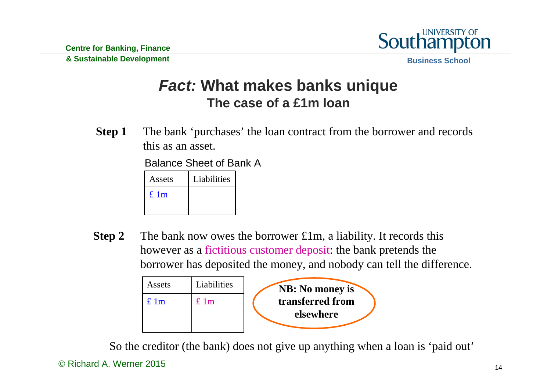

**Business School**

#### *Fact:* **What makes banks unique The case of a £1m loan**

**Step 1** The bank 'purchases' the loan contract from the borrower and records this as an asset.

Balance Sheet of Bank A

| Assets | Liabilities |
|--------|-------------|
| £1m    |             |
|        |             |

**Step 2** The bank now owes the borrower £1m, a liability. It records this however as a fictitious customer deposit: the bank pretends the borrower has deposited the money, and nobody can tell the difference.



So the creditor (the bank) does not give up anything when a loan is 'paid out'

<sup>©</sup> Richard A. Werner 2015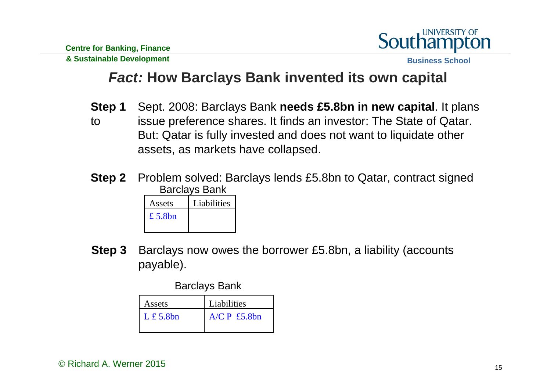

**Business School**

#### *Fact:* **How Barclays Bank invented its own capital**

- **Step 1** Sept. 2008: Barclays Bank **needs £5.8bn in new capital**. It plans
- to issue preference shares. It finds an investor: The State of Qatar. But: Qatar is fully invested and does not want to liquidate other assets, as markets have collapsed.
- **Step 2** Problem solved: Barclays lends £5.8bn to Qatar, contract signed Barclays Bank

| Assets  | Liabilities |
|---------|-------------|
| £ 5.8bn |             |
|         |             |

**Step 3** Barclays now owes the borrower £5.8bn, a liability (accounts payable).

Barclays Bank

| Assets              | Liabilities    |  |
|---------------------|----------------|--|
| $L \text{£} 5.8$ bn | $A/C P$ £5.8bn |  |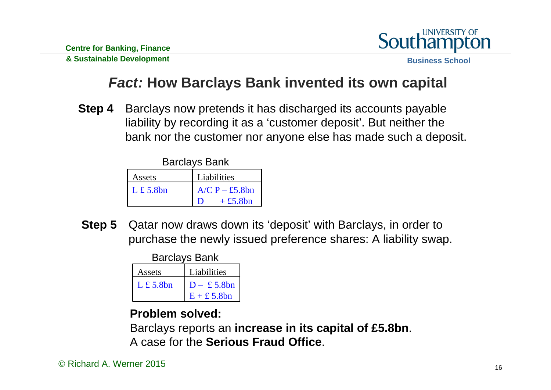

**Business School**

#### *Fact:* **How Barclays Bank invented its own capital**

**Step 4** Barclays now pretends it has discharged its accounts payable liability by recording it as a 'customer deposit'. But neither the bank nor the customer nor anyone else has made such a deposit.

Barclays Bank

| Assets            | Liabilities      |  |
|-------------------|------------------|--|
| $L \pounds 5.8bn$ | $A/C P - £5.8bn$ |  |
|                   | $+£5.8bn$        |  |

**Step 5** Qatar now draws down its 'deposit' with Barclays, in order to purchase the newly issued preference shares: A liability swap.

Barclays Bank

| Assets            | Liabilities          |  |
|-------------------|----------------------|--|
| $L \pounds 5.8bn$ | $D - \pounds 5.8bn$  |  |
|                   | $E + \pounds 5.8$ bn |  |

#### **Problem solved:**

Barclays reports an **increase in its capital of £5.8bn**. A case for the **Serious Fraud Office**.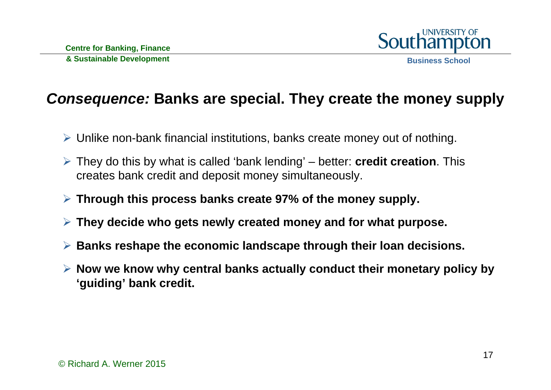

#### *Consequence:* **Banks are special. They create the money supply**

- Unlike non-bank financial institutions, banks create money out of nothing.
- They do this by what is called 'bank lending' better: **credit creation**. This creates bank credit and deposit money simultaneously.
- **Through this process banks create 97% of the money supply.**
- **They decide who gets newly created money and for what purpose.**
- **Banks reshape the economic landscape through their loan decisions.**
- **Now we know why central banks actually conduct their monetary policy by 'guiding' bank credit.**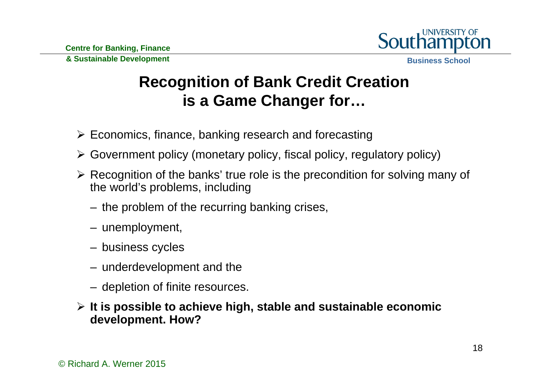

## **Recognition of Bank Credit Creation is a Game Changer for…**

- $\triangleright$  Economics, finance, banking research and forecasting
- Government policy (monetary policy, fiscal policy, regulatory policy)
- $\triangleright$  Recognition of the banks' true role is the precondition for solving many of the world's problems, including
	- the problem of the recurring banking crises,
	- unemployment,
	- business cycles
	- underdevelopment and the
	- depletion of finite resources.
- **It is possible to achieve high, stable and sustainable economic development. How?**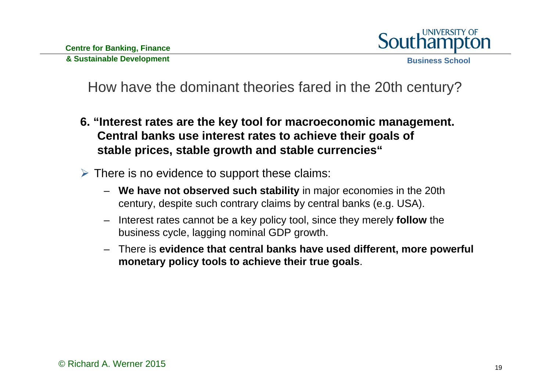

- **6. "Interest rates are the key tool for macroeconomic management. Central banks use interest rates to achieve their goals of stable prices, stable growth and stable currencies"**
- $\triangleright$  There is no evidence to support these claims:
	- **We have not observed such stability** in major economies in the 20th century, despite such contrary claims by central banks (e.g. USA).
	- – Interest rates cannot be a key policy tool, since they merely **follow** the business cycle, lagging nominal GDP growth.
	- There is **evidence that central banks have used different, more powerful monetary policy tools to achieve their true goals**.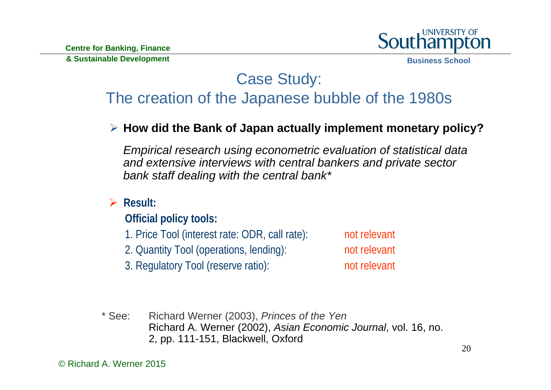

**Business School**

### Case Study: The creation of the Japanese bubble of the 1980s

**How did the Bank of Japan actually implement monetary policy?**

*Empirical research using econometric evaluation of statistical data and extensive interviews with central bankers and private sector bank staff dealing with the central bank\**

**Result:**

**Official policy tools:**

1. Price Tool (interest rate: ODR, call rate): not relevant

2. Quantity Tool (operations, lending): not relevant

3. Regulatory Tool (reserve ratio): not relevant

\* See: Richard Werner (2003), *Princes of the Yen* Richard A. Werner (2002), *Asian Economic Journal*, vol. 16, no. 2, pp. 111-151, Blackwell, Oxford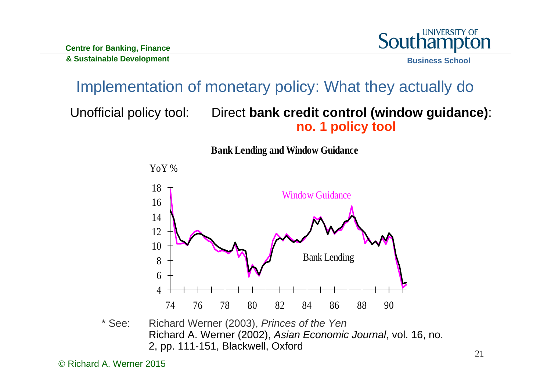

# Implementation of monetary policy: What they actually do

#### Unofficial policy tool: Direct **bank credit control (window guidance)**: **no. 1 policy tool**



#### \* See: Richard Werner (2003), *Princes of the Yen* Richard A. Werner (2002), *Asian Economic Journal*, vol. 16, no. 2, pp. 111-151, Blackwell, Oxford

© Richard A. Werner 2015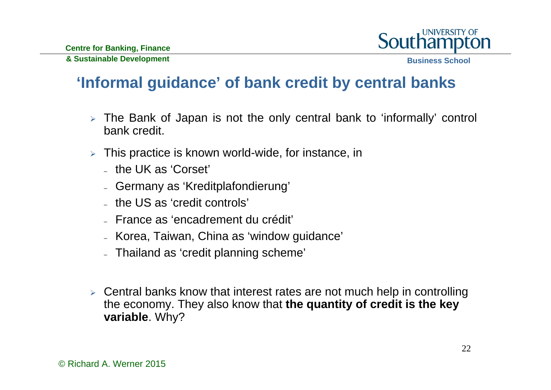

## **'Informal guidance' of bank credit by central banks**

- The Bank of Japan is not the only central bank to 'informally' control bank credit.
- This practice is known world-wide, for instance, in
	- the UK as 'Corset'
	- Germany as 'Kreditplafondierung'
	- the US as 'credit controls'
	- France as 'encadrement du crédit'
	- Korea, Taiwan, China as 'window guidance'
	- Thailand as 'credit planning scheme'
- $\triangleright$  Central banks know that interest rates are not much help in controlling the economy. They also know that **the quantity of credit is the key variable**. Why?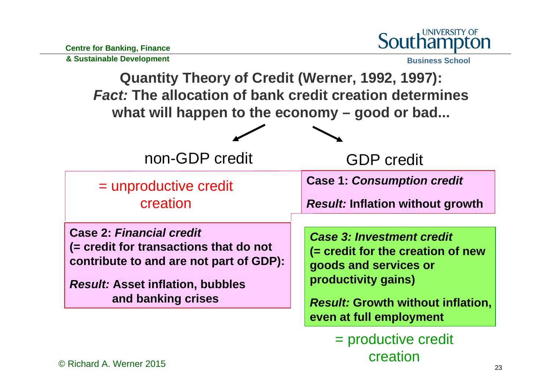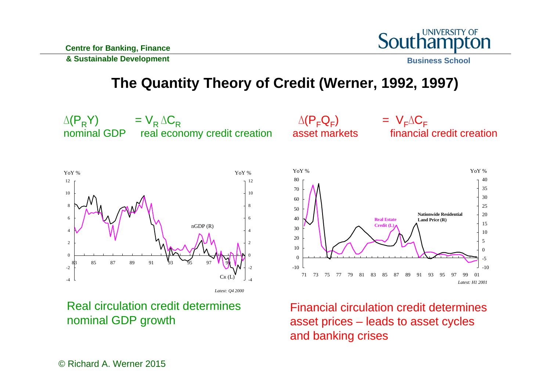

**The Quantity Theory of Credit (Werner, 1992, 1997)**



Real circulation credit determines nominal GDP growth

Financial circulation credit determines asset prices – leads to asset cycles and banking crises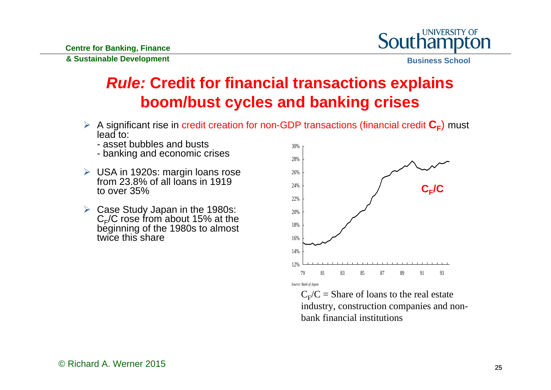

**Business School**

## *Rule:* **Credit for financial transactions explains boom/bust cycles and banking crises**

- A significant rise in credit creation for non-GDP transactions (financial credit  $C_F$ ) must lead to:
	- asset bubbles and busts
	- banking and economic crises
- USA in 1920s: margin loans rose from 23.8% of all loans in 1919 to over 35%
- Case Study Japan in the 1980s: C<sub>F</sub>/C rose from about 15% at the<br>beginning of the 1980s to almost twice this share



 $C_F/C =$  Share of loans to the real estate industry, construction companies and nonbank financial institutions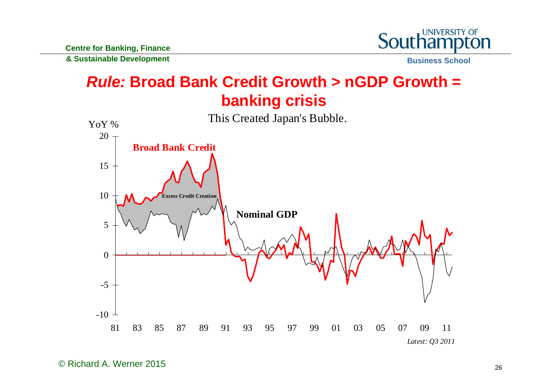

**Business School**

## *Rule:* **Broad Bank Credit Growth > nGDP Growth = banking crisis**

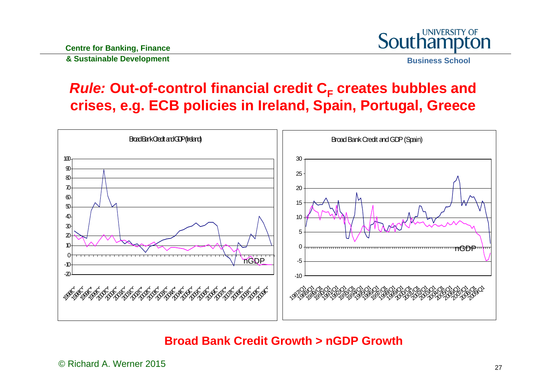

### *Rule:* **Out-of-control financial credit CF creates bubbles and crises, e.g. ECB policies in Ireland, Spain, Portugal, Greece**



#### **Broad Bank Credit Growth > nGDP Growth**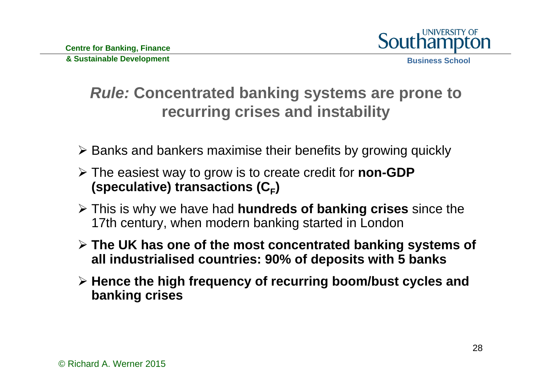

## *Rule:* **Concentrated banking systems are prone to recurring crises and instability**

- $\triangleright$  Banks and bankers maximise their benefits by growing quickly
- The easiest way to grow is to create credit for **non-GDP (speculative) transactions (CF)**
- This is why we have had **hundreds of banking crises** since the 17th century, when modern banking started in London
- **The UK has one of the most concentrated banking systems of all industrialised countries: 90% of deposits with 5 banks**
- **Hence the high frequency of recurring boom/bust cycles and banking crises**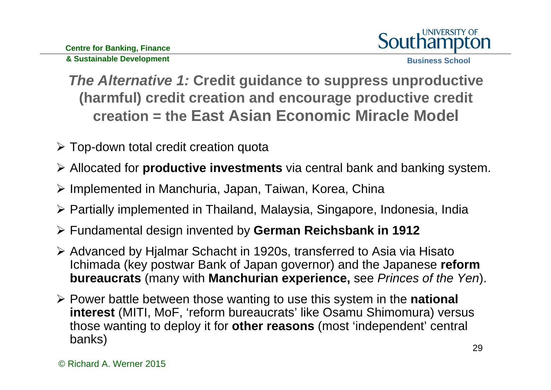

**Business School**

*The Alternative 1:* **Credit guidance to suppress unproductive (harmful) credit creation and encourage productive credit creation = the East Asian Economic Miracle Model**

- $\triangleright$  Top-down total credit creation quota
- Allocated for **productive investments** via central bank and banking system.
- > Implemented in Manchuria, Japan, Taiwan, Korea, China
- Partially implemented in Thailand, Malaysia, Singapore, Indonesia, India
- Fundamental design invented by **German Reichsbank in 1912**
- Advanced by Hjalmar Schacht in 1920s, transferred to Asia via Hisato Ichimada (key postwar Bank of Japan governor) and the Japanese **reform bureaucrats** (many with **Manchurian experience,** see *Princes of the Yen*).
- Power battle between those wanting to use this system in the **national interest** (MITI, MoF, 'reform bureaucrats' like Osamu Shimomura) versus those wanting to deploy it for **other reasons** (most 'independent' central banks)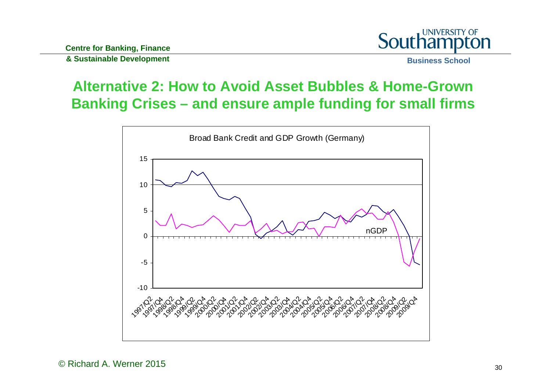

**Business School**

#### **Alternative 2: How to Avoid Asset Bubbles & Home-Grown Banking Crises – and ensure ample funding for small firms**

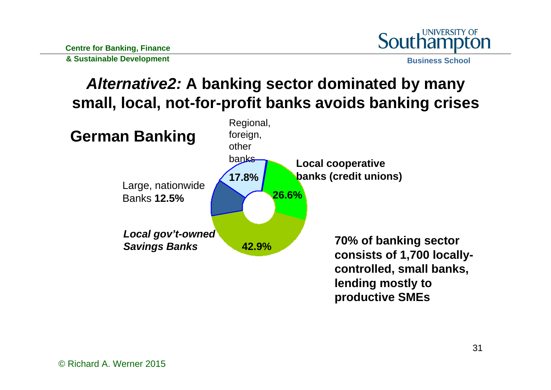

## *Alternative2:* **A banking sector dominated by many small, local, not-for-profit banks avoids banking crises**

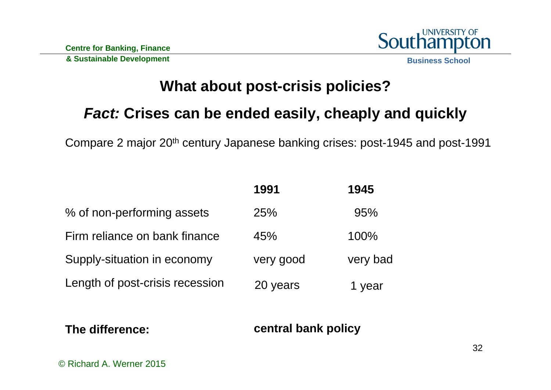

## **What about post-crisis policies?**

### *Fact:* **Crises can be ended easily, cheaply and quickly**

Compare 2 major 20th century Japanese banking crises: post-1945 and post-1991

|                                 | 1991      | 1945     |
|---------------------------------|-----------|----------|
| % of non-performing assets      | 25%       | 95%      |
| Firm reliance on bank finance   | 45%       | 100%     |
| Supply-situation in economy     | very good | very bad |
| Length of post-crisis recession | 20 years  | 1 year   |

#### **The difference:**

#### **central bank policy**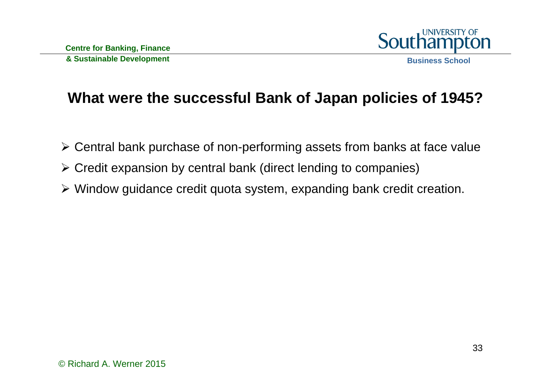

#### **What were the successful Bank of Japan policies of 1945?**

- Central bank purchase of non-performing assets from banks at face value
- Credit expansion by central bank (direct lending to companies)
- Window guidance credit quota system, expanding bank credit creation.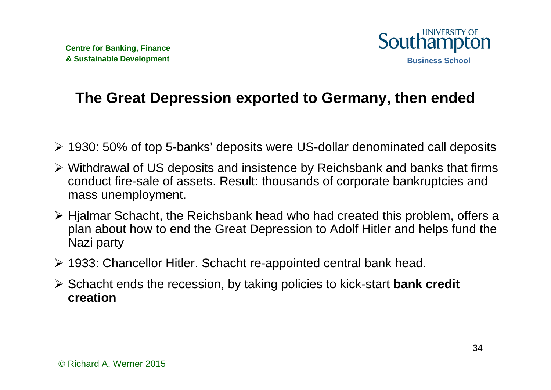

### **The Great Depression exported to Germany, then ended**

- 1930: 50% of top 5-banks' deposits were US-dollar denominated call deposits
- Withdrawal of US deposits and insistence by Reichsbank and banks that firms conduct fire-sale of assets. Result: thousands of corporate bankruptcies and mass unemployment.
- Hjalmar Schacht, the Reichsbank head who had created this problem, offers a plan about how to end the Great Depression to Adolf Hitler and helps fund the Nazi party
- 1933: Chancellor Hitler. Schacht re-appointed central bank head.
- Schacht ends the recession, by taking policies to kick-start **bank credit creation**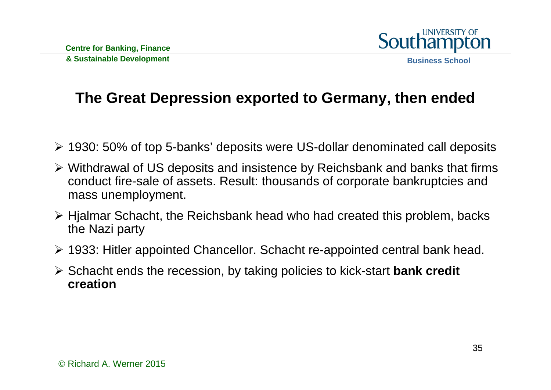

### **The Great Depression exported to Germany, then ended**

- 1930: 50% of top 5-banks' deposits were US-dollar denominated call deposits
- Withdrawal of US deposits and insistence by Reichsbank and banks that firms conduct fire-sale of assets. Result: thousands of corporate bankruptcies and mass unemployment.
- Hjalmar Schacht, the Reichsbank head who had created this problem, backs the Nazi party
- 1933: Hitler appointed Chancellor. Schacht re-appointed central bank head.
- Schacht ends the recession, by taking policies to kick-start **bank credit creation**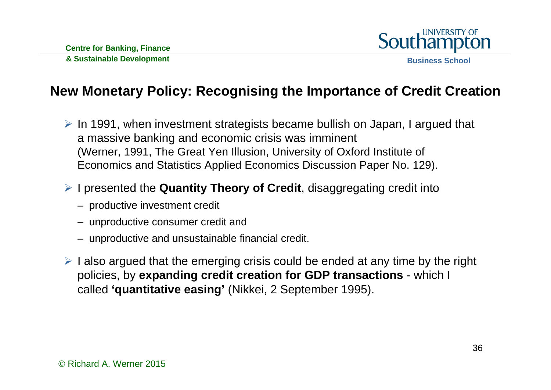

**Business School**

#### **New Monetary Policy: Recognising the Importance of Credit Creation**

 $\triangleright$  In 1991, when investment strategists became bullish on Japan, I argued that a massive banking and economic crisis was imminent (Werner, 1991, The Great Yen Illusion, University of Oxford Institute of Economics and Statistics Applied Economics Discussion Paper No. 129).

#### I presented the **Quantity Theory of Credit**, disaggregating credit into

- productive investment credit
- unproductive consumer credit and
- unproductive and unsustainable financial credit.
- $\triangleright$  I also argued that the emerging crisis could be ended at any time by the right policies, by **expanding credit creation for GDP transactions** - which I called **'quantitative easing'** (Nikkei, 2 September 1995).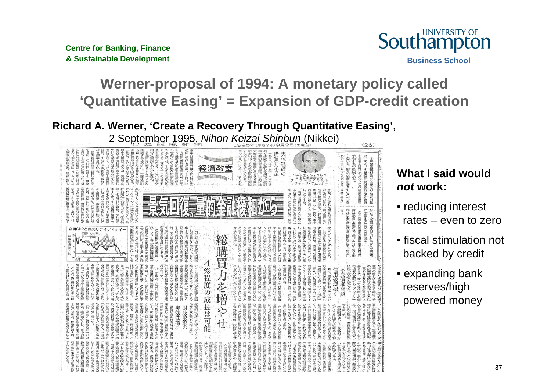**Centre for Banking, Finance** 



**& Sustainable Development**

**Business School**

#### **Werner-proposal of 1994: A monetary policy called 'Quantitative Easing' = Expansion of GDP-credit creation**

#### **Richard A. Werner, 'Create a Recovery Through Quantitative Easing',**

2 September 1995, Nihon Keizai Shinbun (Nikkei)  $(26)$ 体経済の 総購買力を増や 4%程度の成長は可能 別政政策の 未効性增 おはなに立たず 成長率の終 © Richard A. Werner 2015

#### **What I said would** *not* **work:**

- reducing interest rates – even to zero
- fiscal stimulation not backed by credit
- expanding bank reserves/high powered money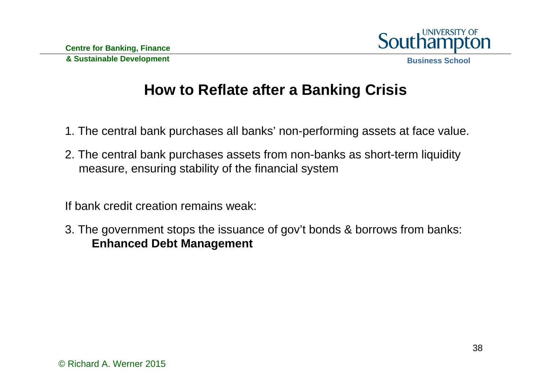

#### **How to Reflate after a Banking Crisis**

- 1. The central bank purchases all banks' non-performing assets at face value.
- 2. The central bank purchases assets from non-banks as short-term liquidity measure, ensuring stability of the financial system

If bank credit creation remains weak:

3. The government stops the issuance of gov't bonds & borrows from banks: **Enhanced Debt Management**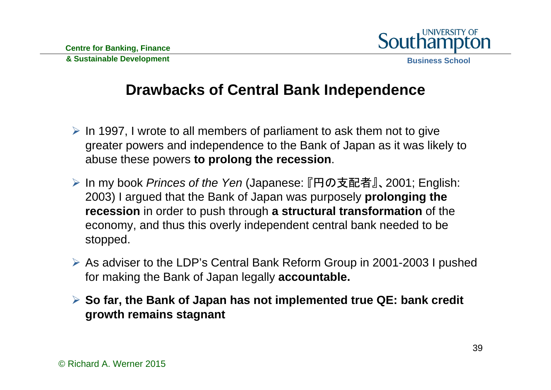

**Drawbacks of Central Bank Independence**

- $\triangleright$  In 1997, I wrote to all members of parliament to ask them not to give greater powers and independence to the Bank of Japan as it was likely to abuse these powers **to prolong the recession**.
- In my book *Princes of the Yen* (Japanese: 『円の支配者』、2001; English: 2003) I argued that the Bank of Japan was purposely **prolonging the recession** in order to push through **a structural transformation** of the economy, and thus this overly independent central bank needed to be stopped.
- As adviser to the LDP's Central Bank Reform Group in 2001-2003 I pushed for making the Bank of Japan legally **accountable.**
- **So far, the Bank of Japan has not implemented true QE: bank credit growth remains stagnant**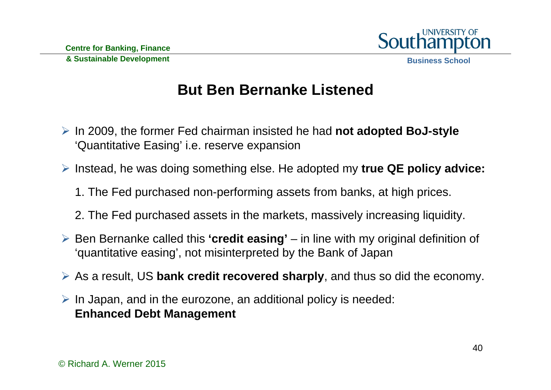

## **But Ben Bernanke Listened**

- **▶ In 2009, the former Fed chairman insisted he had not adopted BoJ-style** 'Quantitative Easing' i.e. reserve expansion
- Instead, he was doing something else. He adopted my **true QE policy advice:**
	- 1. The Fed purchased non-performing assets from banks, at high prices.
	- 2. The Fed purchased assets in the markets, massively increasing liquidity.
- Ben Bernanke called this **'credit easing'** in line with my original definition of 'quantitative easing', not misinterpreted by the Bank of Japan
- As a result, US **bank credit recovered sharply**, and thus so did the economy.
- $\triangleright$  In Japan, and in the eurozone, an additional policy is needed: **Enhanced Debt Management**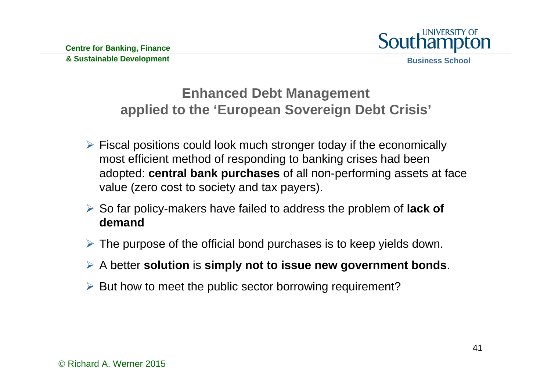

**Enhanced Debt Management applied to the 'European Sovereign Debt Crisis'**

- $\triangleright$  Fiscal positions could look much stronger today if the economically most efficient method of responding to banking crises had been adopted: **central bank purchases** of all non-performing assets at face value (zero cost to society and tax payers).
- So far policy-makers have failed to address the problem of **lack of demand**
- $\triangleright$  The purpose of the official bond purchases is to keep yields down.
- A better **solution** is **simply not to issue new government bonds**.
- $\triangleright$  But how to meet the public sector borrowing requirement?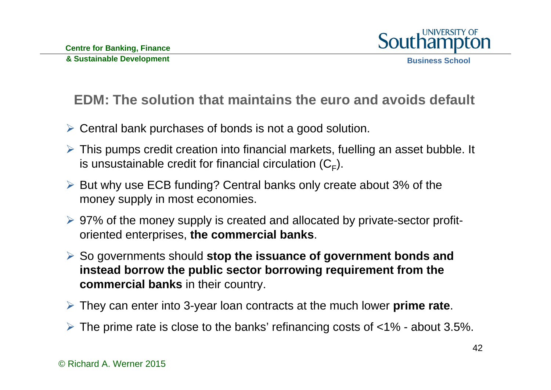

#### **EDM: The solution that maintains the euro and avoids default**

- Central bank purchases of bonds is not a good solution.
- This pumps credit creation into financial markets, fuelling an asset bubble. It is unsustainable credit for financial circulation  $(C_F)$ .
- But why use ECB funding? Central banks only create about 3% of the money supply in most economies.
- 97% of the money supply is created and allocated by private-sector profitoriented enterprises, **the commercial banks**.
- So governments should **stop the issuance of government bonds and instead borrow the public sector borrowing requirement from the commercial banks** in their country.
- They can enter into 3-year loan contracts at the much lower **prime rate**.
- $\triangleright$  The prime rate is close to the banks' refinancing costs of  $\lt 1\%$  about 3.5%.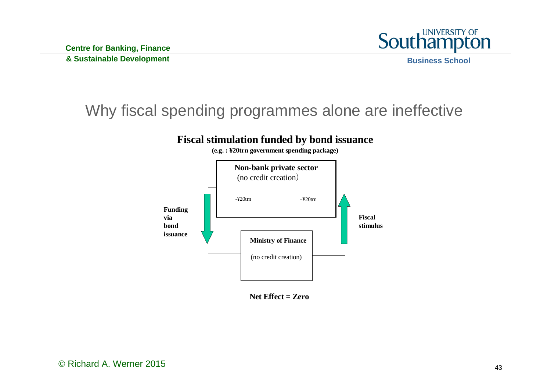

#### Why fiscal spending programmes alone are ineffective



**Net Effect = Zero**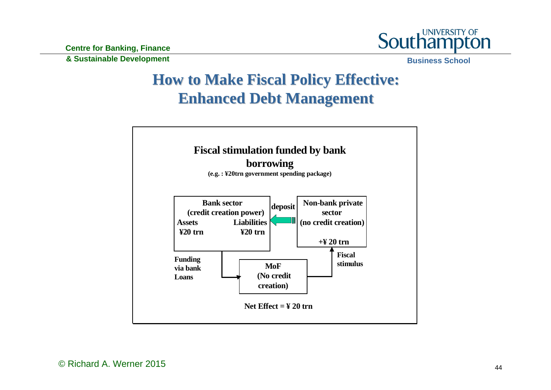**Centre for Banking, Finance** 



**& Sustainable Development**

**Business School**

## **How to Make Fiscal Policy Effective: How to Make Fiscal Policy Effective: Enhanced Debt Management Enhanced Debt Management**

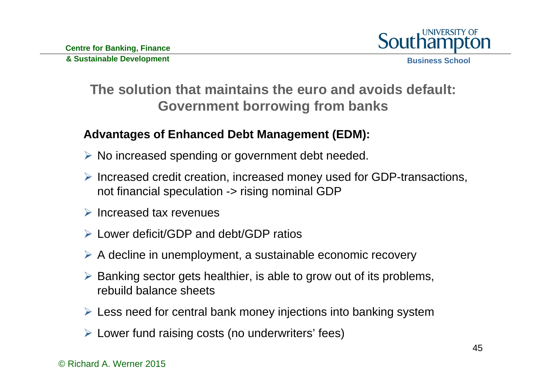

#### **The solution that maintains the euro and avoids default:Government borrowing from banks**

#### **Advantages of Enhanced Debt Management (EDM):**

- $\triangleright$  No increased spending or government debt needed.
- $\triangleright$  Increased credit creation, increased money used for GDP-transactions, not financial speculation -> rising nominal GDP
- $\triangleright$  Increased tax revenues
- Lower deficit/GDP and debt/GDP ratios
- $\triangleright$  A decline in unemployment, a sustainable economic recovery
- $\triangleright$  Banking sector gets healthier, is able to grow out of its problems, rebuild balance sheets
- Less need for central bank money injections into banking system
- Lower fund raising costs (no underwriters' fees)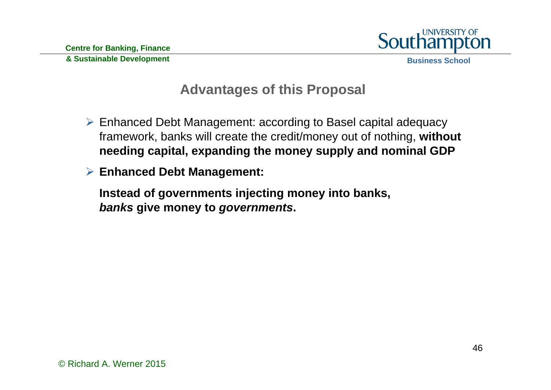

#### **Advantages of this Proposal**

- Enhanced Debt Management: according to Basel capital adequacy framework, banks will create the credit/money out of nothing, **without needing capital, expanding the money supply and nominal GDP**
- **Enhanced Debt Management:**
	- **Instead of governments injecting money into banks,**  *banks* **give money to** *governments***.**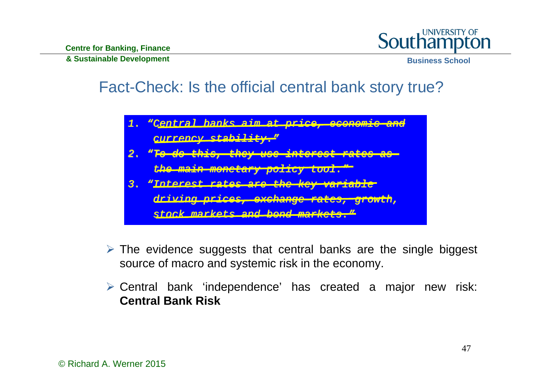

## Fact-Check: Is the official central bank story true?

*1. "Central banks aim at Central banks aim at price, economic and price, economic and currency stability. currency stability."*

- *2. "To do this, they use interest rates as To do this, they use interest rates as the main monetary policy tool. the main monetary policy tool."*
- *3. "Interest rates are the key variable Interest rates are the key variable*

*driving prices, exch driving prices, exchange rates, growth, ange rates, growth,*

*stock markets and stock markets and bond markets. bond markets."*

- $\triangleright$  The evidence suggests that central banks are the single biggest source of macro and systemic risk in the economy.
- Central bank 'independence' has created a major new risk: **Central Bank Risk**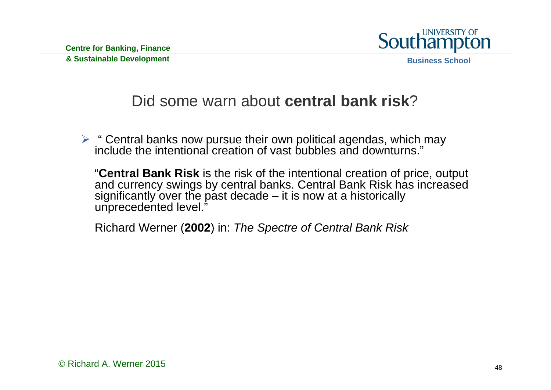

#### Did some warn about **central bank risk**?

 $\triangleright$  " Central banks now pursue their own political agendas, which may include the intentional creation of vast bubbles and downturns."

"**Central Bank Risk** is the risk of the intentional creation of price, output and currency swings by central banks. Central Bank Risk has increased significantly over the past decade  $-$  it is now at a historically unprecedented level."

Richard Werner (**2002**) in: *The Spectre of Central Bank Risk*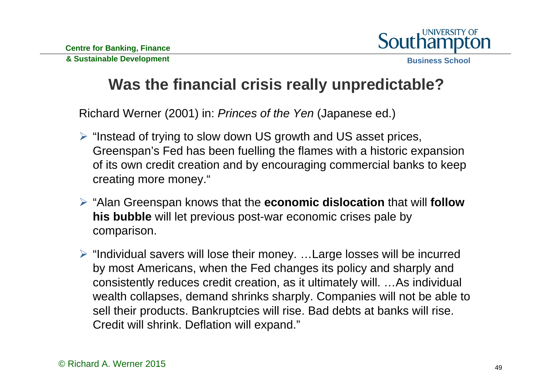

## **Was the financial crisis really unpredictable?**

Richard Werner (2001) in: *Princes of the Yen* (Japanese ed.)

- $\triangleright$  "Instead of trying to slow down US growth and US asset prices, Greenspan's Fed has been fuelling the flames with a historic expansion of its own credit creation and by encouraging commercial banks to keep creating more money."
- "Alan Greenspan knows that the **economic dislocation** that will **follow his bubble** will let previous post-war economic crises pale by comparison.
- $\triangleright$  "Individual savers will lose their money. ... Large losses will be incurred by most Americans, when the Fed changes its policy and sharply and consistently reduces credit creation, as it ultimately will. …As individual wealth collapses, demand shrinks sharply. Companies will not be able to sell their products. Bankruptcies will rise. Bad debts at banks will rise. Credit will shrink. Deflation will expand."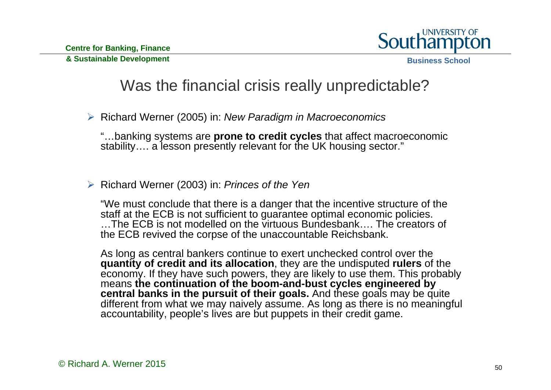

**Business School**

### Was the financial crisis really unpredictable?

Richard Werner (2005) in: *New Paradigm in Macroeconomics*

"…banking systems are **prone to credit cycles** that affect macroeconomic stability…. a lesson presently relevant for the UK housing sector."

Richard Werner (2003) in: *Princes of the Yen*

"We must conclude that there is a danger that the incentive structure of the staff at the ECB is not sufficient to guarantee optimal economic policies. …The ECB is not modelled on the virtuous Bundesbank…. The creators of the ECB revived the corpse of the unaccountable Reichsbank.

As long as central bankers continue to exert unchecked control over the **quantity of credit and its allocation**, they are the undisputed **rulers** of the economy. If they have such powers, they are likely to use them. This probably means **the continuation of the boom-and-bust cycles engineered by central banks in the pursuit of their goals.** And these goals may be quite different from what we may naively assume. As long as there is no meaningful accountability, people's lives are but puppets in their credit game.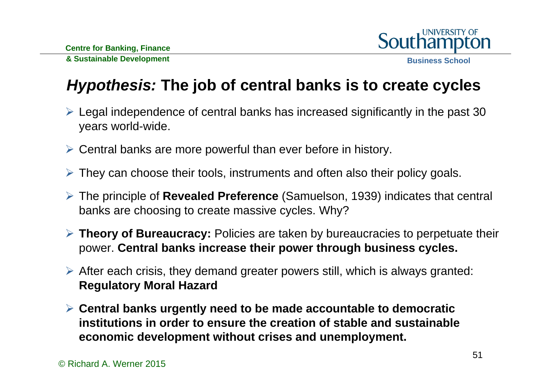

## *Hypothesis:* **The job of central banks is to create cycles**

- Legal independence of central banks has increased significantly in the past 30 years world-wide.
- Central banks are more powerful than ever before in history.
- They can choose their tools, instruments and often also their policy goals.
- The principle of **Revealed Preference** (Samuelson, 1939) indicates that central banks are choosing to create massive cycles. Why?
- **Theory of Bureaucracy:** Policies are taken by bureaucracies to perpetuate their power. **Central banks increase their power through business cycles.**
- After each crisis, they demand greater powers still, which is always granted: **Regulatory Moral Hazard**
- **Central banks urgently need to be made accountable to democratic institutions in order to ensure the creation of stable and sustainable economic development without crises and unemployment.**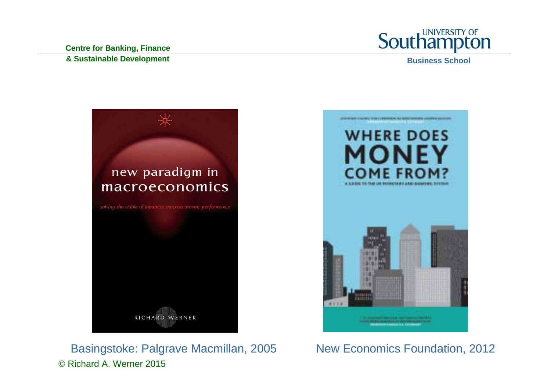**Centre for Banking, Finance & Sustainable Development**



**Business School**



© Richard A. Werner 2015Basingstoke: Palgrave Macmillan, 2005 New Economics Foundation, 2012